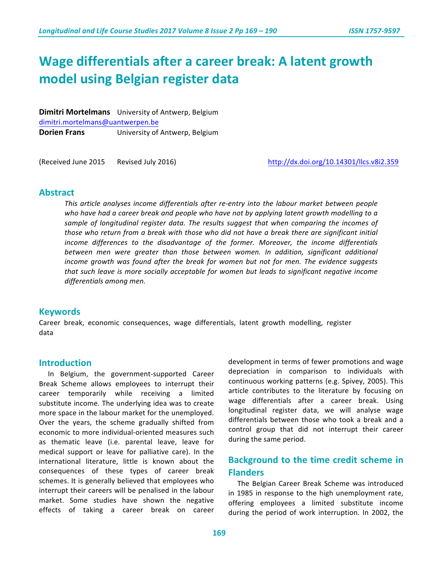# **Wage differentials after a career break: A latent growth model using Belgian register data**

**Dimitri Mortelmans** University of Antwerp, Belgium dimitri.mortelmans@uantwerpen.be **Dorien Frans** University of Antwerp, Belgium

(Received June 2015 Revised July 2016) Netherlands http://dx.doi.org/10.14301/llcs.v8i2.359

## **Abstract**

*This* article analyses income differentials after re-entry into the labour market between people *who have had a career break and people who have not by applying latent growth modelling to a*  sample of longitudinal register data. The results suggest that when comparing the incomes of those who return from a break with those who did not have a break there are significant initial *income* differences to the disadvantage of the former. Moreover, the income differentials *between men were greater than those between women. In addition, significant additional income growth was found after the break for women but not for men. The evidence suggests that* such leave is more socially acceptable for women but leads to significant negative income differentials among men.

### **Keywords**

Career break, economic consequences, wage differentials, latent growth modelling, register data

### **Introduction**

In Belgium, the government-supported Career Break Scheme allows employees to interrupt their career temporarily while receiving a limited substitute income. The underlying idea was to create more space in the labour market for the unemployed. Over the years, the scheme gradually shifted from economic to more individual-oriented measures such as thematic leave (i.e. parental leave, leave for medical support or leave for palliative care). In the international literature, little is known about the consequences of these types of career break schemes. It is generally believed that employees who interrupt their careers will be penalised in the labour market. Some studies have shown the negative effects of taking a career break on career development in terms of fewer promotions and wage depreciation in comparison to individuals with continuous working patterns (e.g. Spivey, 2005). This article contributes to the literature by focusing on wage differentials after a career break. Using longitudinal register data, we will analyse wage differentials between those who took a break and a control group that did not interrupt their career during the same period.

# **Background to the time credit scheme in Flanders**

The Belgian Career Break Scheme was introduced in 1985 in response to the high unemployment rate, offering employees a limited substitute income during the period of work interruption. In 2002, the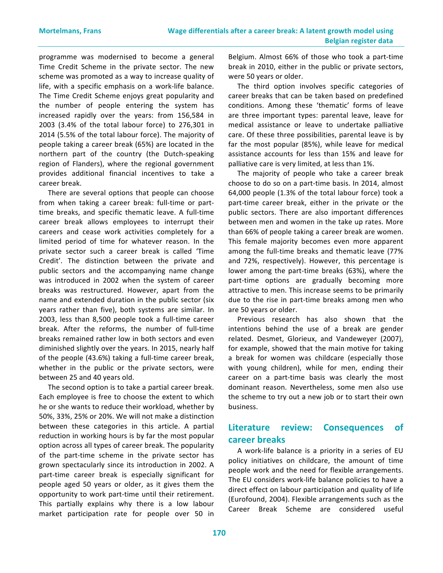programme was modernised to become a general Time Credit Scheme in the private sector. The new scheme was promoted as a way to increase quality of life, with a specific emphasis on a work-life balance. The Time Credit Scheme enjoys great popularity and the number of people entering the system has increased rapidly over the years: from 156,584 in  $2003$  (3.4% of the total labour force) to  $276,301$  in 2014 (5.5% of the total labour force). The majority of people taking a career break (65%) are located in the northern part of the country (the Dutch-speaking region of Flanders), where the regional government provides additional financial incentives to take a career break. 

There are several options that people can choose from when taking a career break: full-time or parttime breaks, and specific thematic leave. A full-time career break allows employees to interrupt their careers and cease work activities completely for a limited period of time for whatever reason. In the private sector such a career break is called 'Time Credit'. The distinction between the private and public sectors and the accompanying name change was introduced in 2002 when the system of career breaks was restructured. However, apart from the name and extended duration in the public sector (six years rather than five), both systems are similar. In 2003, less than 8,500 people took a full-time career break. After the reforms, the number of full-time breaks remained rather low in both sectors and even diminished slightly over the years. In 2015, nearly half of the people (43.6%) taking a full-time career break, whether in the public or the private sectors, were between 25 and 40 years old.

The second option is to take a partial career break. Each employee is free to choose the extent to which he or she wants to reduce their workload, whether by 50%, 33%, 25% or 20%. We will not make a distinction between these categories in this article. A partial reduction in working hours is by far the most popular option across all types of career break. The popularity of the part-time scheme in the private sector has grown spectacularly since its introduction in 2002. A part-time career break is especially significant for people aged 50 years or older, as it gives them the opportunity to work part-time until their retirement. This partially explains why there is a low labour market participation rate for people over 50 in Belgium. Almost 66% of those who took a part-time break in 2010, either in the public or private sectors, were 50 years or older.

The third option involves specific categories of career breaks that can be taken based on predefined conditions. Among these 'thematic' forms of leave are three important types: parental leave, leave for medical assistance or leave to undertake palliative care. Of these three possibilities, parental leave is by far the most popular (85%), while leave for medical assistance accounts for less than 15% and leave for palliative care is very limited, at less than 1%.

The majority of people who take a career break choose to do so on a part-time basis. In 2014, almost 64,000 people (1.3% of the total labour force) took a part-time career break, either in the private or the public sectors. There are also important differences between men and women in the take up rates. More than 66% of people taking a career break are women. This female majority becomes even more apparent among the full-time breaks and thematic leave (77% and 72%, respectively). However, this percentage is lower among the part-time breaks (63%), where the part-time options are gradually becoming more attractive to men. This increase seems to be primarily due to the rise in part-time breaks among men who are 50 years or older.

Previous research has also shown that the intentions behind the use of a break are gender related. Desmet, Glorieux, and Vandeweyer (2007), for example, showed that the main motive for taking a break for women was childcare (especially those with young children), while for men, ending their career on a part-time basis was clearly the most dominant reason. Nevertheless, some men also use the scheme to try out a new job or to start their own business.

# Literature review: Consequences of **career breaks**

A work-life balance is a priority in a series of EU policy initiatives on childcare, the amount of time people work and the need for flexible arrangements. The EU considers work-life balance policies to have a direct effect on labour participation and quality of life (Eurofound, 2004). Flexible arrangements such as the Career Break Scheme are considered useful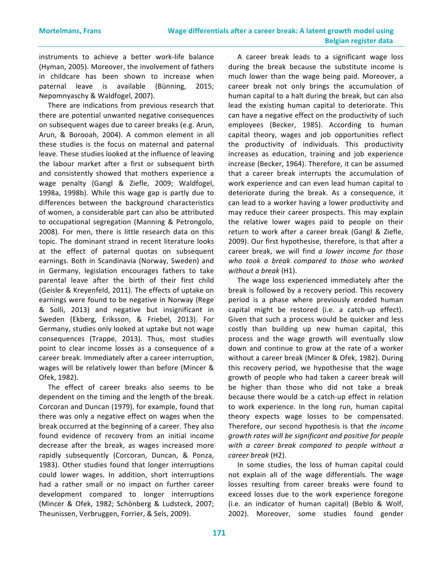instruments to achieve a better work-life balance (Hyman, 2005). Moreover, the involvement of fathers in childcare has been shown to increase when paternal leave is available (Bünning, 2015; Nepomnyaschy & Waldfogel, 2007). 

There are indications from previous research that there are potential unwanted negative consequences on subsequent wages due to career breaks (e.g. Arun, Arun, & Borooah, 2004). A common element in all these studies is the focus on maternal and paternal leave. These studies looked at the influence of leaving the labour market after a first or subsequent birth and consistently showed that mothers experience a wage penalty (Gangl & Ziefle, 2009; Waldfogel, 1998a, 1998b). While this wage gap is partly due to differences between the background characteristics of women, a considerable part can also be attributed to occupational segregation (Manning & Petrongolo, 2008). For men, there is little research data on this topic. The dominant strand in recent literature looks at the effect of paternal quotas on subsequent earnings. Both in Scandinavia (Norway, Sweden) and in Germany, legislation encourages fathers to take parental leave after the birth of their first child (Geisler & Kreyenfeld, 2011). The effects of uptake on earnings were found to be negative in Norway (Rege & Solli, 2013) and negative but insignificant in Sweden (Ekberg, Eriksson, & Friebel, 2013). For Germany, studies only looked at uptake but not wage consequences (Trappe, 2013). Thus, most studies point to clear income losses as a consequence of a career break. Immediately after a career interruption, wages will be relatively lower than before (Mincer & Ofek, 1982). 

The effect of career breaks also seems to be dependent on the timing and the length of the break. Corcoran and Duncan (1979), for example, found that there was only a negative effect on wages when the break occurred at the beginning of a career. They also found evidence of recovery from an initial income decrease after the break, as wages increased more rapidly subsequently (Corcoran, Duncan, & Ponza, 1983). Other studies found that longer interruptions could lower wages. In addition, short interruptions had a rather small or no impact on further career development compared to longer interruptions (Mincer & Ofek, 1982; Schönberg & Ludsteck, 2007; Theunissen, Verbruggen, Forrier, & Sels, 2009).

A career break leads to a significant wage loss during the break because the substitute income is much lower than the wage being paid. Moreover, a career break not only brings the accumulation of human capital to a halt during the break, but can also lead the existing human capital to deteriorate. This can have a negative effect on the productivity of such employees (Becker, 1985). According to human capital theory, wages and job opportunities reflect the productivity of individuals. This productivity increases as education, training and job experience increase (Becker, 1964). Therefore, it can be assumed that a career break interrupts the accumulation of work experience and can even lead human capital to deteriorate during the break. As a consequence, it can lead to a worker having a lower productivity and may reduce their career prospects. This may explain the relative lower wages paid to people on their return to work after a career break (Gangl & Ziefle, 2009). Our first hypothesise, therefore, is that after a career break, we will find a lower income for those *who took a break compared to those who worked without a break* (H1). 

The wage loss experienced immediately after the break is followed by a recovery period. This recovery period is a phase where previously eroded human capital might be restored (i.e. a catch-up effect). Given that such a process would be quicker and less costly than building up new human capital, this process and the wage growth will eventually slow down and continue to grow at the rate of a worker without a career break (Mincer & Ofek, 1982). During this recovery period, we hypothesise that the wage growth of people who had taken a career break will be higher than those who did not take a break because there would be a catch-up effect in relation to work experience. In the long run, human capital theory expects wage losses to be compensated. Therefore, our second hypothesis is that *the income growth rates will be significant and positive for people*  with a career break compared to people without a *career break* (H2).

In some studies, the loss of human capital could not explain all of the wage differentials. The wage losses resulting from career breaks were found to exceed losses due to the work experience foregone (i.e. an indicator of human capital) (Beblo & Wolf, 2002). Moreover, some studies found gender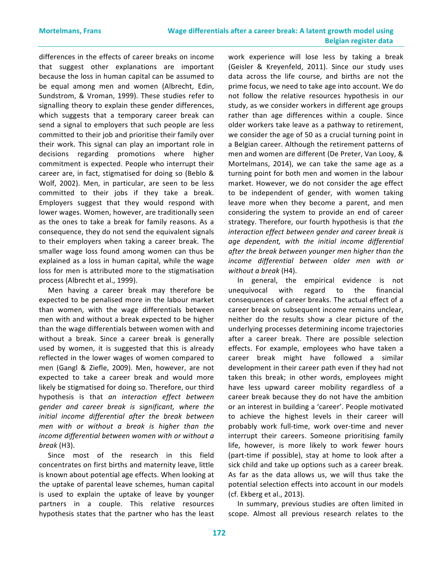differences in the effects of career breaks on income that suggest other explanations are important because the loss in human capital can be assumed to be equal among men and women (Albrecht, Edin, Sundstrom, & Vroman, 1999). These studies refer to signalling theory to explain these gender differences, which suggests that a temporary career break can send a signal to employers that such people are less committed to their job and prioritise their family over their work. This signal can play an important role in decisions regarding promotions where higher commitment is expected. People who interrupt their career are, in fact, stigmatised for doing so (Beblo & Wolf, 2002). Men, in particular, are seen to be less committed to their jobs if they take a break. Employers suggest that they would respond with lower wages. Women, however, are traditionally seen as the ones to take a break for family reasons. As a consequence, they do not send the equivalent signals to their employers when taking a career break. The smaller wage loss found among women can thus be explained as a loss in human capital, while the wage loss for men is attributed more to the stigmatisation process (Albrecht et al., 1999).

Men having a career break may therefore be expected to be penalised more in the labour market than women, with the wage differentials between men with and without a break expected to be higher than the wage differentials between women with and without a break. Since a career break is generally used by women, it is suggested that this is already reflected in the lower wages of women compared to men (Gangl & Ziefle, 2009). Men, however, are not expected to take a career break and would more likely be stigmatised for doing so. Therefore, our third hypothesis is that *an interaction effect between gender and career break is significant, where the initial income differential after the break between men* with or without a break is higher than the *income differential between women with or without a break* (H3).

Since most of the research in this field concentrates on first births and maternity leave, little is known about potential age effects. When looking at the uptake of parental leave schemes, human capital is used to explain the uptake of leave by younger partners in a couple. This relative resources hypothesis states that the partner who has the least

work experience will lose less by taking a break (Geisler & Kreyenfeld, 2011). Since our study uses data across the life course, and births are not the prime focus, we need to take age into account. We do not follow the relative resources hypothesis in our study, as we consider workers in different age groups rather than age differences within a couple. Since older workers take leave as a pathway to retirement, we consider the age of 50 as a crucial turning point in a Belgian career. Although the retirement patterns of men and women are different (De Preter, Van Looy, & Mortelmans, 2014), we can take the same age as a turning point for both men and women in the labour market. However, we do not consider the age effect to be independent of gender, with women taking leave more when they become a parent, and men considering the system to provide an end of career strategy. Therefore, our fourth hypothesis is that the *interaction effect between gender and career break is age dependent, with the initial income differential*  after the break between younger men higher than the *income differential between older men with or without a break* (H4).

In general, the empirical evidence is not unequivocal with regard to the financial consequences of career breaks. The actual effect of a career break on subsequent income remains unclear, neither do the results show a clear picture of the underlying processes determining income trajectories after a career break. There are possible selection effects. For example, employees who have taken a career break might have followed a similar development in their career path even if they had not taken this break; in other words, employees might have less upward career mobility regardless of a career break because they do not have the ambition or an interest in building a 'career'. People motivated to achieve the highest levels in their career will probably work full-time, work over-time and never interrupt their careers. Someone prioritising family life, however, is more likely to work fewer hours (part-time if possible), stay at home to look after a sick child and take up options such as a career break. As far as the data allows us, we will thus take the potential selection effects into account in our models (cf. Ekberg et al., 2013).

In summary, previous studies are often limited in scope. Almost all previous research relates to the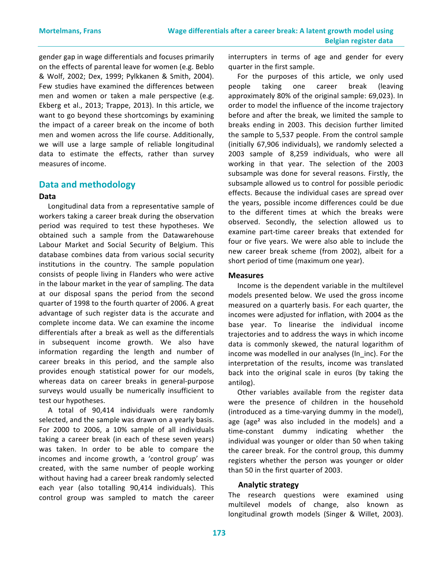gender gap in wage differentials and focuses primarily on the effects of parental leave for women (e.g. Beblo & Wolf, 2002; Dex, 1999; Pylkkanen & Smith, 2004). Few studies have examined the differences between men and women or taken a male perspective (e.g. Ekberg et al., 2013; Trappe, 2013). In this article, we want to go beyond these shortcomings by examining the impact of a career break on the income of both men and women across the life course. Additionally, we will use a large sample of reliable longitudinal data to estimate the effects, rather than survey measures of income.

### **Data and methodology**

#### **Data**

Longitudinal data from a representative sample of workers taking a career break during the observation period was required to test these hypotheses. We obtained such a sample from the Datawarehouse Labour Market and Social Security of Belgium. This database combines data from various social security institutions in the country. The sample population consists of people living in Flanders who were active in the labour market in the year of sampling. The data at our disposal spans the period from the second quarter of 1998 to the fourth quarter of 2006. A great advantage of such register data is the accurate and complete income data. We can examine the income differentials after a break as well as the differentials in subsequent income growth. We also have information regarding the length and number of career breaks in this period, and the sample also provides enough statistical power for our models, whereas data on career breaks in general-purpose surveys would usually be numerically insufficient to test our hypotheses.

A total of 90,414 individuals were randomly selected, and the sample was drawn on a yearly basis. For 2000 to 2006, a 10% sample of all individuals taking a career break (in each of these seven years) was taken. In order to be able to compare the incomes and income growth, a 'control group' was created, with the same number of people working without having had a career break randomly selected each year (also totalling 90,414 individuals). This control group was sampled to match the career interrupters in terms of age and gender for every quarter in the first sample.

For the purposes of this article, we only used people taking one career break (leaving approximately 80% of the original sample: 69,023). In order to model the influence of the income trajectory before and after the break, we limited the sample to breaks ending in 2003. This decision further limited the sample to 5,537 people. From the control sample (initially 67,906 individuals), we randomly selected a 2003 sample of 8,259 individuals, who were all working in that year. The selection of the 2003 subsample was done for several reasons. Firstly, the subsample allowed us to control for possible periodic effects. Because the individual cases are spread over the years, possible income differences could be due to the different times at which the breaks were observed. Secondly, the selection allowed us to examine part-time career breaks that extended for four or five years. We were also able to include the new career break scheme (from 2002), albeit for a short period of time (maximum one year).

#### **Measures**

Income is the dependent variable in the multilevel models presented below. We used the gross income measured on a quarterly basis. For each quarter, the incomes were adjusted for inflation, with 2004 as the base year. To linearise the individual income trajectories and to address the ways in which income data is commonly skewed, the natural logarithm of income was modelled in our analyses (In inc). For the interpretation of the results, income was translated back into the original scale in euros (by taking the antilog).

Other variables available from the register data were the presence of children in the household (introduced as a time-varying dummy in the model), age (age<sup>2</sup> was also included in the models) and a time-constant dummy indicating whether the individual was younger or older than 50 when taking the career break. For the control group, this dummy registers whether the person was younger or older than 50 in the first quarter of 2003.

#### **Analytic strategy**

The research questions were examined using multilevel models of change, also known as longitudinal growth models (Singer & Willet, 2003).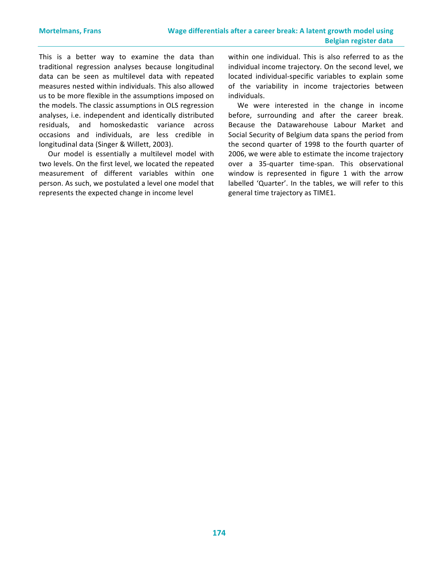This is a better way to examine the data than traditional regression analyses because longitudinal data can be seen as multilevel data with repeated measures nested within individuals. This also allowed us to be more flexible in the assumptions imposed on the models. The classic assumptions in OLS regression analyses, i.e. independent and identically distributed residuals, and homoskedastic variance across occasions and individuals, are less credible in longitudinal data (Singer & Willett, 2003).

Our model is essentially a multilevel model with two levels. On the first level, we located the repeated measurement of different variables within one person. As such, we postulated a level one model that represents the expected change in income level

within one individual. This is also referred to as the individual income trajectory. On the second level, we located individual-specific variables to explain some of the variability in income trajectories between individuals.

We were interested in the change in income before, surrounding and after the career break. Because the Datawarehouse Labour Market and Social Security of Belgium data spans the period from the second quarter of 1998 to the fourth quarter of 2006, we were able to estimate the income trajectory over a 35-quarter time-span. This observational window is represented in figure  $1$  with the arrow labelled 'Quarter'. In the tables, we will refer to this general time trajectory as TIME1.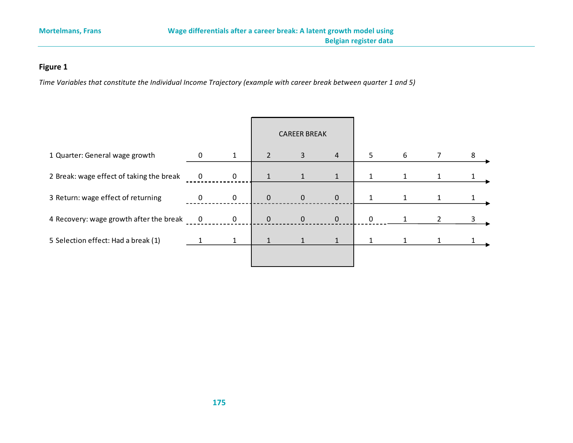# **Figure 1**

*Time Variables that constitute the Individual Income Trajectory (example with career break between quarter 1 and 5)* 

|              |                | <b>CAREER BREAK</b> |              |                |   |   |                |   |
|--------------|----------------|---------------------|--------------|----------------|---|---|----------------|---|
|              | $\mathbf{1}$   | $\overline{2}$      | 3            | $\overline{4}$ | 5 | 6 |                | 8 |
| 0            | $\overline{0}$ | $\mathbf{1}$        | $\mathbf{1}$ | $\mathbf{1}$   |   | 1 |                |   |
| $\mathbf{0}$ | $\mathbf 0$    | $\mathbf 0$         | $\mathbf 0$  | $\overline{0}$ |   | 1 |                |   |
| 0            | $\mathbf 0$    | $\mathbf 0$         | $\pmb{0}$    | $\mathbf{0}$   | 0 |   | $\overline{2}$ | 3 |
|              |                |                     |              |                |   |   |                |   |
|              |                |                     |              |                |   |   |                |   |
|              |                |                     |              |                | 1 |   |                |   |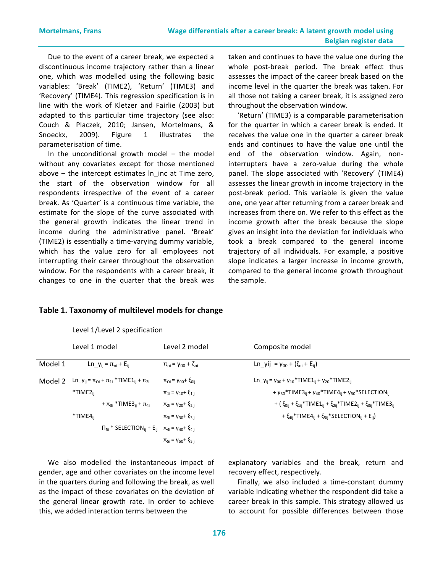Due to the event of a career break, we expected a discontinuous income trajectory rather than a linear one, which was modelled using the following basic variables: 'Break' (TIME2), 'Return' (TIME3) and 'Recovery' (TIME4). This regression specification is in line with the work of Kletzer and Fairlie (2003) but adapted to this particular time trajectory (see also: Couch & Placzek, 2010; Jansen, Mortelmans, & Snoeckx, 2009). Figure 1 illustrates the parameterisation of time.

In the unconditional growth model  $-$  the model without any covariates except for those mentioned above – the intercept estimates  $\ln$  inc at Time zero, the start of the observation window for all respondents irrespective of the event of a career break. As 'Quarter' is a continuous time variable, the estimate for the slope of the curve associated with the general growth indicates the linear trend in income during the administrative panel. 'Break' (TIME2) is essentially a time-varying dummy variable, which has the value zero for all employees not interrupting their career throughout the observation window. For the respondents with a career break, it changes to one in the quarter that the break was taken and continues to have the value one during the whole post-break period. The break effect thus assesses the impact of the career break based on the income level in the quarter the break was taken. For all those not taking a career break, it is assigned zero throughout the observation window.

'Return' (TIME3) is a comparable parameterisation for the quarter in which a career break is ended. It receives the value one in the quarter a career break ends and continues to have the value one until the end of the observation window. Again, noninterrupters have a zero-value during the whole panel. The slope associated with 'Recovery' (TIME4) assesses the linear growth in income trajectory in the post-break period. This variable is given the value one, one year after returning from a career break and increases from there on. We refer to this effect as the income growth after the break because the slope gives an insight into the deviation for individuals who took a break compared to the general income trajectory of all individuals. For example, a positive slope indicates a larger increase in income growth, compared to the general income growth throughout the sample.

|         | Level 1 model                                                                                               | Level 2 model                         | Composite model                                                                                                    |
|---------|-------------------------------------------------------------------------------------------------------------|---------------------------------------|--------------------------------------------------------------------------------------------------------------------|
| Model 1 | Ln_y <sub>ij</sub> = $\pi_{oi}$ + E <sub>ij</sub>                                                           | $\pi_{0i} = \gamma_{00} + \zeta_{0i}$ | Ln_yij = $y_{00} + (\zeta_{0i} + E_{ii})$                                                                          |
| Model 2 | Ln_y <sub>ij</sub> = $\pi_{0i}$ + $\pi_{1i}$ *TIME1 <sub>ij</sub> + $\pi_{2i}$                              | $\pi_{0i} = \gamma_{00} + \xi_{0ii}$  | Ln_y <sub>ij</sub> = $\gamma_{00}$ + $\gamma_{10}$ *TIME1 <sub>ij</sub> + $\gamma_{20}$ *TIME2 <sub>ii</sub>       |
|         | *TIME2 <sub>ii</sub>                                                                                        | $\pi_{1i} = \gamma_{10} + \xi_{1ij}$  | + $\gamma_{30}$ *TIME3 <sub>ij</sub> + $\gamma_{40}$ *TIME4 <sub>ij</sub> + $\gamma_{50}$ *SELECTION <sub>ii</sub> |
|         | + $\pi_{3i}$ *TIME3 <sub>ii</sub> + $\pi_{4i}$                                                              | $\pi_{2i} = \gamma_{20} + \xi_{2ii}$  | + $(\xi_{0ij} + \xi_{1ij} * TIME1_{ij} + \xi_{2ij} * TIME2_{ij} + \xi_{3ij} * TIME3_{ij}$                          |
|         | $*$ TIME $4_{ii}$                                                                                           | $\pi_{3i} = \gamma_{30} + \xi_{3ii}$  | + $\xi_{4ij}$ *TIME4 <sub>ii</sub> + $\xi_{5ij}$ *SELECTION <sub>ii</sub> + E <sub>ii</sub> )                      |
|         | $\Pi_{5i}$ * SELECTION <sub>ii</sub> + E <sub>ij</sub> π <sub>4i</sub> = γ <sub>40</sub> + ξ <sub>4ij</sub> |                                       |                                                                                                                    |
|         |                                                                                                             | $π_{5i} = γ_{50} + ξ_{5ii}$           |                                                                                                                    |

#### Table 1. Taxonomy of multilevel models for change

Level 1/Level 2 specification

We also modelled the instantaneous impact of gender, age and other covariates on the income level in the quarters during and following the break, as well as the impact of these covariates on the deviation of the general linear growth rate. In order to achieve this, we added interaction terms between the

explanatory variables and the break, return and recovery effect, respectively.

Finally, we also included a time-constant dummy variable indicating whether the respondent did take a career break in this sample. This strategy allowed us to account for possible differences between those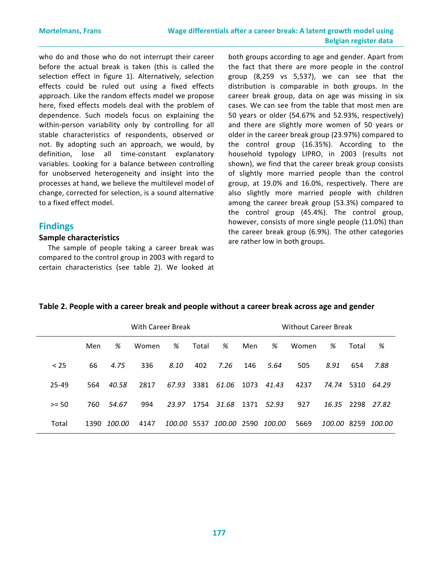who do and those who do not interrupt their career before the actual break is taken (this is called the selection effect in figure 1). Alternatively, selection effects could be ruled out using a fixed effects approach. Like the random effects model we propose here, fixed effects models deal with the problem of dependence. Such models focus on explaining the within-person variability only by controlling for all stable characteristics of respondents, observed or not. By adopting such an approach, we would, by definition, lose all time-constant explanatory variables. Looking for a balance between controlling for unobserved heterogeneity and insight into the processes at hand, we believe the multilevel model of change, corrected for selection, is a sound alternative to a fixed effect model.

# **Findings**

#### **Sample characteristics**

The sample of people taking a career break was compared to the control group in 2003 with regard to certain characteristics (see table 2). We looked at

both groups according to age and gender. Apart from the fact that there are more people in the control group  $(8,259 \text{ vs } 5,537)$ , we can see that the distribution is comparable in both groups. In the career break group, data on age was missing in six cases. We can see from the table that most men are 50 years or older (54.67% and 52.93%, respectively) and there are slightly more women of 50 years or older in the career break group (23.97%) compared to the control group  $(16.35\%)$ . According to the household typology LIPRO, in 2003 (results not shown), we find that the career break group consists of slightly more married people than the control group, at 19.0% and 16.0%, respectively. There are also slightly more married people with children among the career break group (53.3%) compared to the control group (45.4%). The control group, however, consists of more single people (11.0%) than the career break group  $(6.9%)$ . The other categories are rather low in both groups.

|         | <b>With Career Break</b> |        |       |        |       | <b>Without Career Break</b> |      |        |       |             |       |        |
|---------|--------------------------|--------|-------|--------|-------|-----------------------------|------|--------|-------|-------------|-------|--------|
|         | Men                      | %      | Women | %      | Total | %                           | Men  | %      | Women | %           | Total | %      |
| < 25    | 66                       | 4.75   | 336   | 8.10   | 402   | 7.26                        | 146  | 5.64   | 505   | 8.91        | 654   | 7.88   |
| 25-49   | 564                      | 40.58  | 2817  | 67.93  | 3381  | 61.06                       | 1073 | 41.43  | 4237  | 74.74       | 5310  | 64.29  |
| $>= 50$ | 760                      | 54.67  | 994   | 23.97  | 1754  | 31.68                       | 1371 | 52.93  | 927   | 16.35       | 2298  | 27.82  |
| Total   | 1390                     | 100.00 | 4147  | 100.00 | 5537  | 100.00                      | 2590 | 100.00 | 5669  | 100.00 8259 |       | 100.00 |

### Table 2. People with a career break and people without a career break across age and gender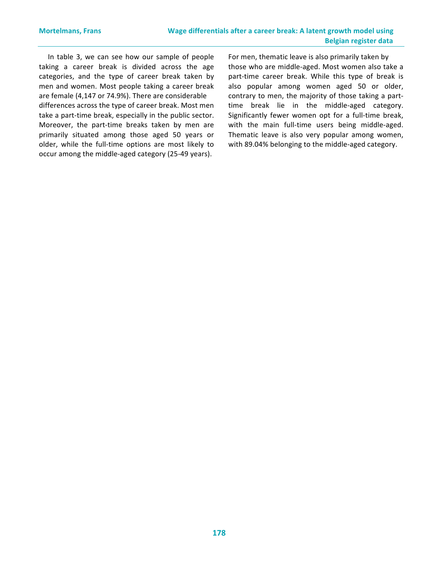In table 3, we can see how our sample of people taking a career break is divided across the age categories, and the type of career break taken by men and women. Most people taking a career break are female (4,147 or 74.9%). There are considerable differences across the type of career break. Most men take a part-time break, especially in the public sector. Moreover, the part-time breaks taken by men are primarily situated among those aged 50 years or older, while the full-time options are most likely to occur among the middle-aged category (25-49 years).

For men, thematic leave is also primarily taken by those who are middle-aged. Most women also take a part-time career break. While this type of break is also popular among women aged 50 or older, contrary to men, the majority of those taking a parttime break lie in the middle-aged category. Significantly fewer women opt for a full-time break, with the main full-time users being middle-aged. Thematic leave is also very popular among women, with 89.04% belonging to the middle-aged category.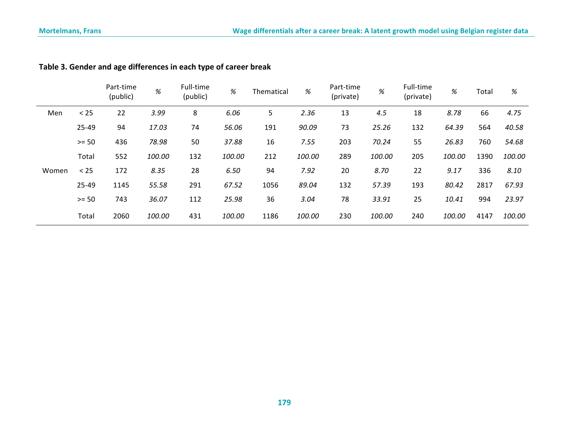|       |           | Part-time<br>(public) | %      | Full-time<br>(public) | %      | Thematical | $\%$   | Part-time<br>(private) | %      | Full-time<br>(private) | $\%$   | Total | $\%$   |
|-------|-----------|-----------------------|--------|-----------------------|--------|------------|--------|------------------------|--------|------------------------|--------|-------|--------|
| Men   | < 25      | 22                    | 3.99   | 8                     | 6.06   | 5          | 2.36   | 13                     | 4.5    | 18                     | 8.78   | 66    | 4.75   |
|       | $25 - 49$ | 94                    | 17.03  | 74                    | 56.06  | 191        | 90.09  | 73                     | 25.26  | 132                    | 64.39  | 564   | 40.58  |
|       | $>= 50$   | 436                   | 78.98  | 50                    | 37.88  | 16         | 7.55   | 203                    | 70.24  | 55                     | 26.83  | 760   | 54.68  |
|       | Total     | 552                   | 100.00 | 132                   | 100.00 | 212        | 100.00 | 289                    | 100.00 | 205                    | 100.00 | 1390  | 100.00 |
| Women | < 25      | 172                   | 8.35   | 28                    | 6.50   | 94         | 7.92   | 20                     | 8.70   | 22                     | 9.17   | 336   | 8.10   |
|       | $25 - 49$ | 1145                  | 55.58  | 291                   | 67.52  | 1056       | 89.04  | 132                    | 57.39  | 193                    | 80.42  | 2817  | 67.93  |
|       | $>= 50$   | 743                   | 36.07  | 112                   | 25.98  | 36         | 3.04   | 78                     | 33.91  | 25                     | 10.41  | 994   | 23.97  |
|       | Total     | 2060                  | 100.00 | 431                   | 100.00 | 1186       | 100.00 | 230                    | 100.00 | 240                    | 100.00 | 4147  | 100.00 |

# Table 3. Gender and age differences in each type of career break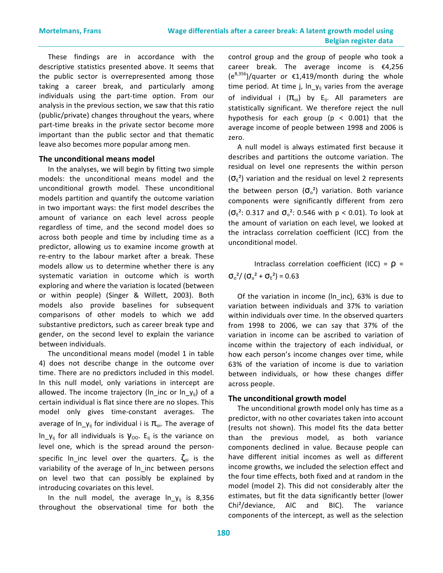These findings are in accordance with the descriptive statistics presented above. It seems that the public sector is overrepresented among those taking a career break, and particularly among individuals using the part-time option. From our analysis in the previous section, we saw that this ratio (public/private) changes throughout the years, where part-time breaks in the private sector become more important than the public sector and that thematic leave also becomes more popular among men.

#### **The unconditional means model**

In the analyses, we will begin by fitting two simple models: the unconditional means model and the unconditional growth model. These unconditional models partition and quantify the outcome variation in two important ways: the first model describes the amount of variance on each level across people regardless of time, and the second model does so across both people and time by including time as a predictor, allowing us to examine income growth at re-entry to the labour market after a break. These models allow us to determine whether there is any systematic variation in outcome which is worth exploring and where the variation is located (between or within people) (Singer & Willett, 2003). Both models also provide baselines for subsequent comparisons of other models to which we add substantive predictors, such as career break type and gender, on the second level to explain the variance between individuals.

The unconditional means model (model 1 in table 4) does not describe change in the outcome over time. There are no predictors included in this model. In this null model, only variations in intercept are allowed. The income trajectory ( $\ln$  inc or  $\ln y_{ii}$ ) of a certain individual is flat since there are no slopes. This model only gives time-constant averages. The average of  $ln_y$  for individual i is  $\pi_{0i}$ . The average of  $\ln y_{ij}$  for all individuals is  $y_{00}$ . E<sub>ij</sub> is the variance on level one, which is the spread around the personspecific  $\ln$  inc level over the quarters.  $\zeta_{oi}$  is the variability of the average of ln\_inc between persons on level two that can possibly be explained by introducing covariates on this level.

In the null model, the average  $ln_y$  is 8,356 throughout the observational time for both the control group and the group of people who took a career break. The average income is  $\epsilon$ 4,256  $(e^{8,356})$ /quarter or  $£1,419$ /month during the whole time period. At time j,  $ln_y$  varies from the average of individual i  $(\pi_{oi})$  by E<sub>ij</sub>. All parameters are statistically significant. We therefore reject the null hypothesis for each group ( $p < 0.001$ ) that the average income of people between 1998 and 2006 is zero.

A null model is always estimated first because it describes and partitions the outcome variation. The residual on level one represents the within person  $({\sigma_{E}}^{2})$  variation and the residual on level 2 represents the between person  $(\sigma_o^2)$  variation. Both variance components were significantly different from zero  $({\sigma_{E}}^{2}: 0.317$  and  ${\sigma_{o}}^{2}: 0.546$  with  $p < 0.01$ ). To look at the amount of variation on each level, we looked at the intraclass correlation coefficient (ICC) from the unconditional model.

Intraclass correlation coefficient (ICC) =  $\rho$  =  $\sigma_{o}^{2}/(\sigma_{o}^{2}+\sigma_{E}^{2})=0.63$ 

Of the variation in income ( $ln\_inc$ ), 63% is due to variation between individuals and 37% to variation within individuals over time. In the observed quarters from 1998 to 2006, we can say that 37% of the variation in income can be ascribed to variation of income within the trajectory of each individual, or how each person's income changes over time, while 63% of the variation of income is due to variation between individuals, or how these changes differ across people.

#### **The unconditional growth model**

The unconditional growth model only has time as a predictor, with no other covariates taken into account (results not shown). This model fits the data better than the previous model, as both variance components declined in value. Because people can have different initial incomes as well as different income growths, we included the selection effect and the four time effects, both fixed and at random in the model (model 2). This did not considerably alter the estimates, but fit the data significantly better (lower Chi<sup>2</sup>/deviance, AIC and BIC). The variance components of the intercept, as well as the selection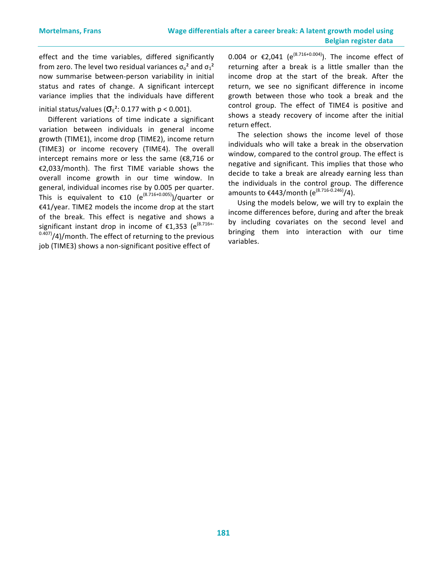effect and the time variables, differed significantly from zero. The level two residual variances  $\sigma_0^2$  and  $\sigma_1^2$ now summarise between-person variability in initial status and rates of change. A significant intercept variance implies that the individuals have different

initial status/values ( $\sigma_{\rm E}^2$ : 0.177 with  $p < 0.001$ ).

Different variations of time indicate a significant variation between individuals in general income growth (TIME1), income drop (TIME2), income return (TIME3) or income recovery (TIME4). The overall intercept remains more or less the same  $(E8,716$  or €2,033/month). The first TIME variable shows the overall income growth in our time window. In general, individual incomes rise by 0.005 per quarter. This is equivalent to  $\epsilon$ 10 (e<sup>(8.716+0.005)</sup>)/quarter or €41/year. TIME2 models the income drop at the start of the break. This effect is negative and shows a significant instant drop in income of  $\epsilon$ 1,353 (e<sup>(8.716+-</sup>  $^{0.407}$ /4)/month. The effect of returning to the previous job (TIME3) shows a non-significant positive effect of

0.004 or €2,041 (e<sup>(8.716+0.004)</sup>). The income effect of returning after a break is a little smaller than the income drop at the start of the break. After the return, we see no significant difference in income growth between those who took a break and the control group. The effect of TIME4 is positive and shows a steady recovery of income after the initial return effect.

The selection shows the income level of those individuals who will take a break in the observation window, compared to the control group. The effect is negative and significant. This implies that those who decide to take a break are already earning less than the individuals in the control group. The difference amounts to €443/month (e<sup>(8.716-0.246)</sup>/4).

Using the models below, we will try to explain the income differences before, during and after the break by including covariates on the second level and bringing them into interaction with our time variables.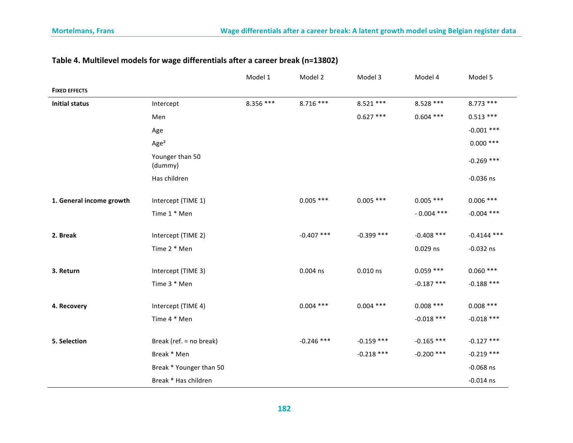|                          |                            | Model 1   | Model 2      | Model 3      | Model 4      | Model 5       |
|--------------------------|----------------------------|-----------|--------------|--------------|--------------|---------------|
| <b>FIXED EFFECTS</b>     |                            |           |              |              |              |               |
| <b>Initial status</b>    | Intercept                  | 8.356 *** | $8.716***$   | $8.521***$   | 8.528 ***    | $8.773$ ***   |
|                          | Men                        |           |              | $0.627$ ***  | $0.604$ ***  | $0.513***$    |
|                          | Age                        |           |              |              |              | $-0.001$ ***  |
|                          | Age <sup>2</sup>           |           |              |              |              | $0.000$ ***   |
|                          | Younger than 50<br>(dummy) |           |              |              |              | $-0.269$ ***  |
|                          | Has children               |           |              |              |              | $-0.036$ ns   |
|                          |                            |           |              | $0.005$ ***  | $0.005$ ***  | $0.006$ ***   |
| 1. General income growth | Intercept (TIME 1)         |           | $0.005$ ***  |              |              |               |
|                          | Time 1 * Men               |           |              |              | $-0.004$ *** | $-0.004$ ***  |
| 2. Break                 | Intercept (TIME 2)         |           | $-0.407$ *** | $-0.399$ *** | $-0.408$ *** | $-0.4144$ *** |
|                          | Time 2 * Men               |           |              |              | 0.029 ns     | $-0.032$ ns   |
|                          |                            |           |              |              |              |               |
| 3. Return                | Intercept (TIME 3)         |           | $0.004$ ns   | $0.010$ ns   | $0.059$ ***  | $0.060$ ***   |
|                          | Time 3 * Men               |           |              |              | $-0.187$ *** | $-0.188$ ***  |
| 4. Recovery              | Intercept (TIME 4)         |           | $0.004$ ***  | $0.004$ ***  | $0.008$ ***  | $0.008$ ***   |
|                          | Time 4 * Men               |           |              |              | $-0.018$ *** | $-0.018$ ***  |
|                          |                            |           |              |              |              |               |
| 5. Selection             | Break (ref. = no break)    |           | $-0.246$ *** | $-0.159$ *** | $-0.165$ *** | $-0.127$ ***  |
|                          | Break * Men                |           |              | $-0.218$ *** | $-0.200$ *** | $-0.219$ ***  |
|                          | Break * Younger than 50    |           |              |              |              | $-0.068$ ns   |
|                          | Break * Has children       |           |              |              |              | $-0.014$ ns   |

# Table 4. Multilevel models for wage differentials after a career break (n=13802)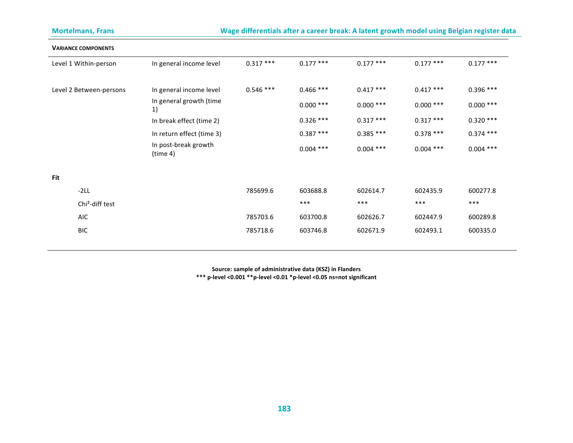| <b>Mortelmans, Frans</b>    |                                  |             |             |             |             | Wage differentials after a career break: A latent growth model using Belgian register data |
|-----------------------------|----------------------------------|-------------|-------------|-------------|-------------|--------------------------------------------------------------------------------------------|
| <b>VARIANCE COMPONENTS</b>  |                                  |             |             |             |             |                                                                                            |
| Level 1 Within-person       | In general income level          | $0.317***$  | $0.177$ *** | $0.177$ *** | $0.177$ *** | $0.177$ ***                                                                                |
| Level 2 Between-persons     | In general income level          | $0.546$ *** | $0.466$ *** | $0.417***$  | $0.417***$  | $0.396$ ***                                                                                |
|                             | In general growth (time<br>1)    |             | $0.000$ *** | $0.000$ *** | $0.000$ *** | $0.000$ ***                                                                                |
|                             | In break effect (time 2)         |             | $0.326$ *** | $0.317***$  | $0.317***$  | $0.320***$                                                                                 |
|                             | In return effect (time 3)        |             | $0.387***$  | $0.385***$  | $0.378***$  | $0.374$ ***                                                                                |
|                             | In post-break growth<br>(time 4) |             | $0.004$ *** | $0.004$ *** | $0.004$ *** | $0.004$ ***                                                                                |
| Fit                         |                                  |             |             |             |             |                                                                                            |
| $-2LL$                      |                                  | 785699.6    | 603688.8    | 602614.7    | 602435.9    | 600277.8                                                                                   |
| Chi <sup>2</sup> -diff test |                                  |             | $***$       | $***$       | $***$       | $***$                                                                                      |
| AIC                         |                                  | 785703.6    | 603700.8    | 602626.7    | 602447.9    | 600289.8                                                                                   |
| <b>BIC</b>                  |                                  | 785718.6    | 603746.8    | 602671.9    | 602493.1    | 600335.0                                                                                   |

Source: sample of administrative data (KSZ) in Flanders \*\*\* p-level <0.001 \*\*p-level <0.01 \*p-level <0.05 ns=not significant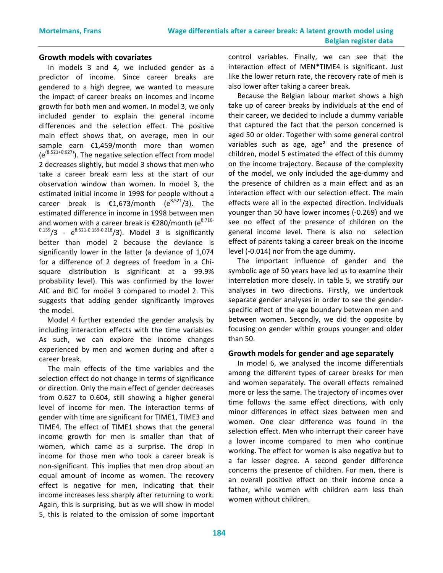#### **Growth models with covariates**

In models 3 and 4, we included gender as a predictor of income. Since career breaks are gendered to a high degree, we wanted to measure the impact of career breaks on incomes and income growth for both men and women. In model 3, we only included gender to explain the general income differences and the selection effect. The positive main effect shows that, on average, men in our sample earn  $\epsilon$ 1,459/month more than women  $(e^{(8.521+0.627)})$ . The negative selection effect from model 2 decreases slightly, but model 3 shows that men who take a career break earn less at the start of our observation window than women. In model 3, the estimated initial income in 1998 for people without a career break is  $\epsilon$ 1,673/month (e<sup>8,521</sup>/3). The estimated difference in income in 1998 between men and women with a career break is  $\epsilon$ 280/month (e<sup>8,716-</sup>  $0.159/3$  -  $e^{8,521 \cdot 0.159 \cdot 0.218}/3$ ). Model 3 is significantly better than model 2 because the deviance is significantly lower in the latter (a deviance of 1,074 for a difference of 2 degrees of freedom in a Chisquare distribution is significant at a 99.9% probability level). This was confirmed by the lower AIC and BIC for model 3 compared to model 2. This suggests that adding gender significantly improves the model.

Model 4 further extended the gender analysis by including interaction effects with the time variables. As such, we can explore the income changes experienced by men and women during and after a career break.

The main effects of the time variables and the selection effect do not change in terms of significance or direction. Only the main effect of gender decreases from 0.627 to 0.604, still showing a higher general level of income for men. The interaction terms of gender with time are significant for TIME1, TIME3 and TIME4. The effect of TIME1 shows that the general income growth for men is smaller than that of women, which came as a surprise. The drop in income for those men who took a career break is non-significant. This implies that men drop about an equal amount of income as women. The recovery effect is negative for men, indicating that their income increases less sharply after returning to work. Again, this is surprising, but as we will show in model 5, this is related to the omission of some important control variables. Finally, we can see that the interaction effect of MEN\*TIME4 is significant. Just like the lower return rate, the recovery rate of men is also lower after taking a career break.

Because the Belgian labour market shows a high take up of career breaks by individuals at the end of their career, we decided to include a dummy variable that captured the fact that the person concerned is aged 50 or older. Together with some general control variables such as age, age<sup>2</sup> and the presence of children, model 5 estimated the effect of this dummy on the income trajectory. Because of the complexity of the model, we only included the age-dummy and the presence of children as a main effect and as an interaction effect with our selection effect. The main effects were all in the expected direction. Individuals younger than 50 have lower incomes (-0.269) and we see no effect of the presence of children on the general income level. There is also no selection effect of parents taking a career break on the income level (-0.014) nor from the age dummy.

The important influence of gender and the symbolic age of 50 years have led us to examine their interrelation more closely. In table 5, we stratify our analyses in two directions. Firstly, we undertook separate gender analyses in order to see the genderspecific effect of the age boundary between men and between women. Secondly, we did the opposite by focusing on gender within groups younger and older than 50.

#### **Growth models for gender and age separately**

In model 6, we analysed the income differentials among the different types of career breaks for men and women separately. The overall effects remained more or less the same. The trajectory of incomes over time follows the same effect directions, with only minor differences in effect sizes between men and women. One clear difference was found in the selection effect. Men who interrupt their career have a lower income compared to men who continue working. The effect for women is also negative but to a far lesser degree. A second gender difference concerns the presence of children. For men, there is an overall positive effect on their income once a father, while women with children earn less than women without children.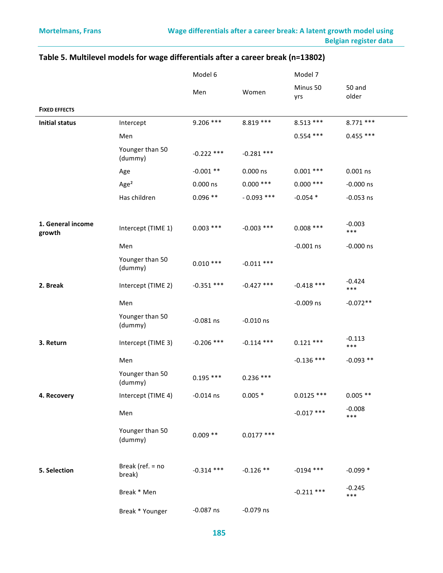|                             |                            | Model 6      |              | Model 7         |                   |
|-----------------------------|----------------------------|--------------|--------------|-----------------|-------------------|
|                             |                            | Men          | Women        | Minus 50<br>yrs | 50 and<br>older   |
| <b>FIXED EFFECTS</b>        |                            |              |              |                 |                   |
| <b>Initial status</b>       | Intercept                  | $9.206$ ***  | $8.819***$   | $8.513***$      | $8.771$ ***       |
|                             | Men                        |              |              | $0.554$ ***     | $0.455$ ***       |
|                             | Younger than 50<br>(dummy) | $-0.222$ *** | $-0.281$ *** |                 |                   |
|                             | Age                        | $-0.001**$   | 0.000 ns     | $0.001$ ***     | $0.001$ ns        |
|                             | Age <sup>2</sup>           | 0.000 ns     | $0.000$ ***  | $0.000$ ***     | $-0.000$ ns       |
|                             | Has children               | $0.096**$    | $-0.093$ *** | $-0.054*$       | $-0.053$ ns       |
| 1. General income<br>growth | Intercept (TIME 1)         | $0.003$ ***  | $-0.003$ *** | $0.008$ ***     | $-0.003$<br>***   |
|                             | Men                        |              |              | $-0.001$ ns     | $-0.000$ ns       |
|                             | Younger than 50<br>(dummy) | $0.010***$   | $-0.011$ *** |                 |                   |
| 2. Break                    | Intercept (TIME 2)         | $-0.351$ *** | $-0.427$ *** | $-0.418$ ***    | $-0.424$<br>***   |
|                             | Men                        |              |              | $-0.009$ ns     | $-0.072**$        |
|                             | Younger than 50<br>(dummy) | $-0.081$ ns  | $-0.010$ ns  |                 |                   |
| 3. Return                   | Intercept (TIME 3)         | $-0.206$ *** | $-0.114$ *** | $0.121***$      | $-0.113$<br>***   |
|                             | Men                        |              |              | $-0.136$ ***    | $-0.093**$        |
|                             | Younger than 50<br>(dummy) | $0.195***$   | $0.236***$   |                 |                   |
| 4. Recovery                 | Intercept (TIME 4)         | -0.014 ns    | $0.005*$     | $0.0125$ ***    | $0.005**$         |
|                             | Men                        |              |              | $-0.017$ ***    | $-0.008$<br>$***$ |
|                             | Younger than 50<br>(dummy) | $0.009**$    | $0.0177$ *** |                 |                   |
| 5. Selection                | Break (ref. = no<br>break) | $-0.314$ *** | $-0.126**$   | $-0194$ ***     | $-0.099*$         |
|                             | Break * Men                |              |              | $-0.211$ ***    | $-0.245$<br>***   |
|                             | Break * Younger            | $-0.087$ ns  | $-0.079$ ns  |                 |                   |

# Table 5. Multilevel models for wage differentials after a career break (n=13802)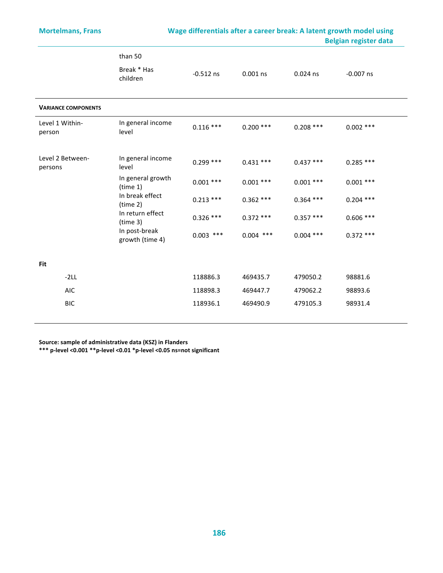$\overline{\phantom{0}}$ 

# Mortelmans, Frans **Wage differentials after a career break:** A latent growth model using  **Belgian register data**

|                             | than 50<br>Break * Has<br>children | $-0.512$ ns | $0.001$ ns  | $0.024$ ns  | $-0.007$ ns |
|-----------------------------|------------------------------------|-------------|-------------|-------------|-------------|
| <b>VARIANCE COMPONENTS</b>  |                                    |             |             |             |             |
| Level 1 Within-<br>person   | In general income<br>level         | $0.116$ *** | $0.200$ *** | $0.208$ *** | $0.002$ *** |
| Level 2 Between-<br>persons | In general income<br>level         | $0.299$ *** | $0.431***$  | $0.437***$  | $0.285$ *** |
|                             | In general growth<br>(time 1)      | $0.001$ *** | $0.001$ *** | $0.001$ *** | $0.001$ *** |
|                             | In break effect<br>(time 2)        | $0.213$ *** | $0.362$ *** | $0.364$ *** | $0.204$ *** |
|                             | In return effect<br>(time 3)       | $0.326$ *** | $0.372$ *** | $0.357***$  | $0.606$ *** |
|                             | In post-break<br>growth (time 4)   | $0.003$ *** | $0.004$ *** | $0.004$ *** | $0.372$ *** |
| <b>Fit</b>                  |                                    |             |             |             |             |
| $-2LL$                      |                                    | 118886.3    | 469435.7    | 479050.2    | 98881.6     |
| <b>AIC</b>                  |                                    | 118898.3    | 469447.7    | 479062.2    | 98893.6     |
| <b>BIC</b>                  |                                    | 118936.1    | 469490.9    | 479105.3    | 98931.4     |

Source: sample of administrative data (KSZ) in Flanders

\*\*\* p-level <0.001 \*\*p-level <0.01 \*p-level <0.05 ns=not significant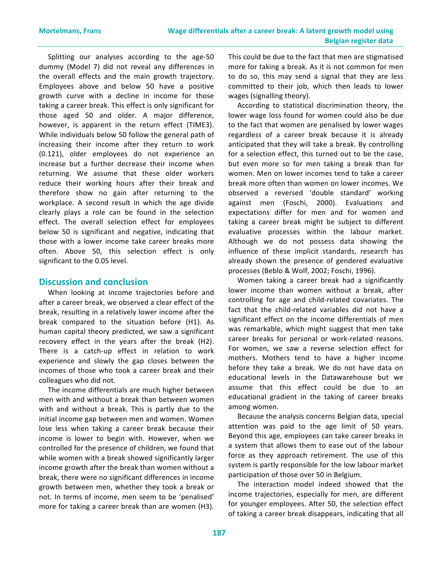Splitting our analyses according to the age-50 dummy (Model 7) did not reveal any differences in the overall effects and the main growth trajectory. Employees above and below 50 have a positive growth curve with a decline in income for those taking a career break. This effect is only significant for those aged 50 and older. A major difference, however, is apparent in the return effect (TIME3). While individuals below 50 follow the general path of increasing their income after they return to work (0.121), older employees do not experience an increase but a further decrease their income when returning. We assume that these older workers reduce their working hours after their break and therefore show no gain after returning to the workplace. A second result in which the age divide clearly plays a role can be found in the selection effect. The overall selection effect for employees below 50 is significant and negative, indicating that those with a lower income take career breaks more often. Above 50, this selection effect is only significant to the 0.05 level.

### **Discussion and conclusion**

When looking at income trajectories before and after a career break, we observed a clear effect of the break, resulting in a relatively lower income after the break compared to the situation before (H1). As human capital theory predicted, we saw a significant recovery effect in the years after the break (H2). There is a catch-up effect in relation to work experience and slowly the gap closes between the incomes of those who took a career break and their colleagues who did not.

The income differentials are much higher between men with and without a break than between women with and without a break. This is partly due to the initial income gap between men and women. Women lose less when taking a career break because their income is lower to begin with. However, when we controlled for the presence of children, we found that while women with a break showed significantly larger income growth after the break than women without a break, there were no significant differences in income growth between men, whether they took a break or not. In terms of income, men seem to be 'penalised' more for taking a career break than are women (H3). This could be due to the fact that men are stigmatised more for taking a break. As it is not common for men to do so, this may send a signal that they are less committed to their job, which then leads to lower wages (signalling theory).

According to statistical discrimination theory, the lower wage loss found for women could also be due to the fact that women are penalised by lower wages regardless of a career break because it is already anticipated that they will take a break. By controlling for a selection effect, this turned out to be the case, but even more so for men taking a break than for women. Men on lower incomes tend to take a career break more often than women on lower incomes. We observed a reversed 'double standard' working against men (Foschi, 2000). Evaluations and expectations differ for men and for women and taking a career break might be subject to different evaluative processes within the labour market. Although we do not possess data showing the influence of these implicit standards, research has already shown the presence of gendered evaluative processes (Beblo & Wolf, 2002; Foschi, 1996).

Women taking a career break had a significantly lower income than women without a break, after controlling for age and child-related covariates. The fact that the child-related variables did not have a significant effect on the income differentials of men was remarkable, which might suggest that men take career breaks for personal or work-related reasons. For women, we saw a reverse selection effect for mothers. Mothers tend to have a higher income before they take a break. We do not have data on educational levels in the Datawarehouse but we assume that this effect could be due to an educational gradient in the taking of career breaks among women.

Because the analysis concerns Belgian data, special attention was paid to the age limit of 50 years. Beyond this age, employees can take career breaks in a system that allows them to ease out of the labour force as they approach retirement. The use of this system is partly responsible for the low labour market participation of those over 50 in Belgium.

The interaction model indeed showed that the income trajectories, especially for men, are different for younger employees. After 50, the selection effect of taking a career break disappears, indicating that all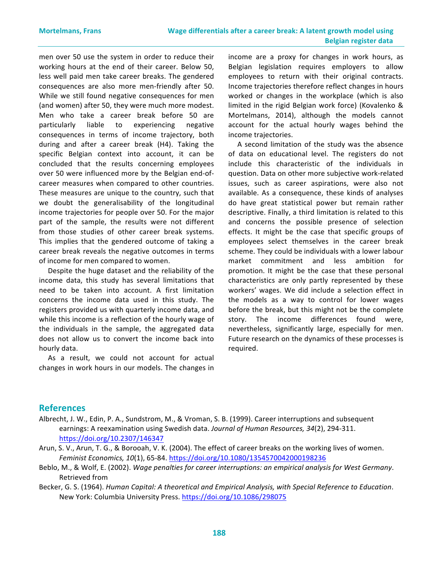men over 50 use the system in order to reduce their working hours at the end of their career. Below 50, less well paid men take career breaks. The gendered consequences are also more men-friendly after 50. While we still found negative consequences for men (and women) after 50, they were much more modest. Men who take a career break before 50 are particularly liable to experiencing negative consequences in terms of income trajectory, both during and after a career break (H4). Taking the specific Belgian context into account, it can be concluded that the results concerning employees over 50 were influenced more by the Belgian end-ofcareer measures when compared to other countries. These measures are unique to the country, such that we doubt the generalisability of the longitudinal income trajectories for people over 50. For the major part of the sample, the results were not different from those studies of other career break systems. This implies that the gendered outcome of taking a career break reveals the negative outcomes in terms of income for men compared to women.

Despite the huge dataset and the reliability of the income data, this study has several limitations that need to be taken into account. A first limitation concerns the income data used in this study. The registers provided us with quarterly income data, and while this income is a reflection of the hourly wage of the individuals in the sample, the aggregated data does not allow us to convert the income back into hourly data.

As a result, we could not account for actual changes in work hours in our models. The changes in income are a proxy for changes in work hours, as Belgian legislation requires employers to allow employees to return with their original contracts. Income trajectories therefore reflect changes in hours worked or changes in the workplace (which is also limited in the rigid Belgian work force) (Kovalenko & Mortelmans, 2014), although the models cannot account for the actual hourly wages behind the income trajectories.

A second limitation of the study was the absence of data on educational level. The registers do not include this characteristic of the individuals in question. Data on other more subjective work-related issues, such as career aspirations, were also not available. As a consequence, these kinds of analyses do have great statistical power but remain rather descriptive. Finally, a third limitation is related to this and concerns the possible presence of selection effects. It might be the case that specific groups of employees select themselves in the career break scheme. They could be individuals with a lower labour market commitment and less ambition for promotion. It might be the case that these personal characteristics are only partly represented by these workers' wages. We did include a selection effect in the models as a way to control for lower wages before the break, but this might not be the complete story. The income differences found were, nevertheless, significantly large, especially for men. Future research on the dynamics of these processes is required.

### **References**

- Albrecht, J. W., Edin, P. A., Sundstrom, M., & Vroman, S. B. (1999). Career interruptions and subsequent earnings: A reexamination using Swedish data. Journal of Human Resources, 34(2), 294-311. https://doi.org/10.2307/146347
- Arun, S. V., Arun, T. G., & Borooah, V. K. (2004). The effect of career breaks on the working lives of women. *Feminist Economics, 10*(1), 65-84. https://doi.org/10.1080/1354570042000198236
- Beblo, M., & Wolf, E. (2002). *Wage penalties for career interruptions: an empirical analysis for West Germany*. Retrieved from
- Becker, G. S. (1964). *Human Capital: A theoretical and Empirical Analysis, with Special Reference to Education*. New York: Columbia University Press. https://doi.org/10.1086/298075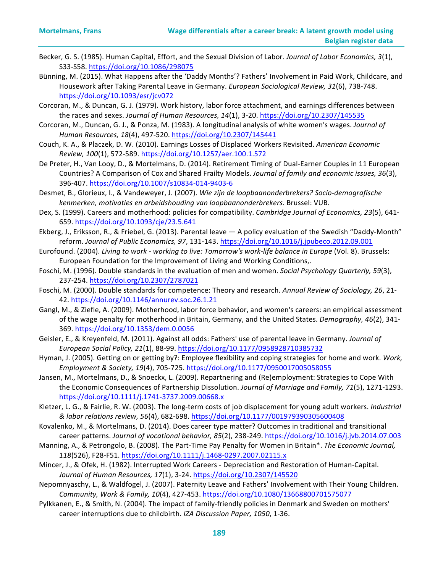- Becker, G. S. (1985). Human Capital, Effort, and the Sexual Division of Labor. *Journal of Labor Economics, 3*(1), S33-S58. https://doi.org/10.1086/298075
- Bünning, M. (2015). What Happens after the 'Daddy Months'? Fathers' Involvement in Paid Work, Childcare, and Housework after Taking Parental Leave in Germany. *European Sociological Review, 31(6), 738-748.* https://doi.org/10.1093/esr/jcv072
- Corcoran, M., & Duncan, G. J. (1979). Work history, labor force attachment, and earnings differences between the races and sexes. *Journal of Human Resources, 14*(1), 3-20. https://doi.org/10.2307/145535
- Corcoran, M., Duncan, G. J., & Ponza, M. (1983). A longitudinal analysis of white women's wages. *Journal of Human Resources, 18*(4), 497-520. https://doi.org/10.2307/145441
- Couch, K. A., & Placzek, D. W. (2010). Earnings Losses of Displaced Workers Revisited. American Economic *Review, 100*(1), 572-589. https://doi.org/10.1257/aer.100.1.572
- De Preter, H., Van Looy, D., & Mortelmans, D. (2014). Retirement Timing of Dual-Earner Couples in 11 European Countries? A Comparison of Cox and Shared Frailty Models. *Journal of family and economic issues, 36*(3), 396-407. https://doi.org/10.1007/s10834-014-9403-6
- Desmet, B., Glorieux, I., & Vandeweyer, J. (2007). Wie zijn de loopbaanonderbrekers? Socio-demografische kenmerken, motivaties en arbeidshouding van loopbaanonderbrekers. Brussel: VUB.
- Dex, S. (1999). Careers and motherhood: policies for compatibility. *Cambridge Journal of Economics, 23*(5), 641-659. https://doi.org/10.1093/cje/23.5.641
- Ekberg, J., Eriksson, R., & Friebel, G. (2013). Parental leave A policy evaluation of the Swedish "Daddy-Month" reform. Journal of Public Economics, 97, 131-143. https://doi.org/10.1016/j.jpubeco.2012.09.001
- Eurofound. (2004). *Living to work working to live: Tomorrow's work-life balance in Europe* (Vol. 8). Brussels: European Foundation for the Improvement of Living and Working Conditions,.
- Foschi, M. (1996). Double standards in the evaluation of men and women. *Social Psychology Quarterly, 59*(3), 237-254. https://doi.org/10.2307/2787021
- Foschi, M. (2000). Double standards for competence: Theory and research. Annual Review of Sociology, 26, 21-42. https://doi.org/10.1146/annurev.soc.26.1.21
- Gangl, M., & Ziefle, A. (2009). Motherhood, labor force behavior, and women's careers: an empirical assessment of the wage penalty for motherhood in Britain, Germany, and the United States. *Demography, 46*(2), 341-369. https://doi.org/10.1353/dem.0.0056
- Geisler, E., & Kreyenfeld, M. (2011). Against all odds: Fathers' use of parental leave in Germany. *Journal of European Social Policy, 21*(1), 88-99. https://doi.org/10.1177/0958928710385732
- Hyman, J. (2005). Getting on or getting by?: Employee flexibility and coping strategies for home and work. Work, *Employment & Society, 19*(4), 705-725. https://doi.org/10.1177/0950017005058055
- Jansen, M., Mortelmans, D., & Snoeckx, L. (2009). Repartnering and (Re)employment: Strategies to Cope With the Economic Consequences of Partnership Dissolution. Journal of Marriage and Family, 71(5), 1271-1293. https://doi.org/10.1111/j.1741-3737.2009.00668.x
- Kletzer, L. G., & Fairlie, R. W. (2003). The long-term costs of job displacement for young adult workers. *Industrial & labor relations review, 56*(4), 682-698. https://doi.org/10.1177/001979390305600408
- Kovalenko, M., & Mortelmans, D. (2014). Does career type matter? Outcomes in traditional and transitional career patterns. Journal of vocational behavior, 85(2), 238-249. https://doi.org/10.1016/j.jvb.2014.07.003
- Manning, A., & Petrongolo, B. (2008). The Part-Time Pay Penalty for Women in Britain\*. The Economic Journal, *118*(526), F28-F51. https://doi.org/10.1111/j.1468-0297.2007.02115.x
- Mincer, J., & Ofek, H. (1982). Interrupted Work Careers Depreciation and Restoration of Human-Capital. *Journal of Human Resources, 17*(1), 3-24. https://doi.org/10.2307/145520
- Nepomnyaschy, L., & Waldfogel, J. (2007). Paternity Leave and Fathers' Involvement with Their Young Children. *Community, Work & Family, 10*(4), 427-453. https://doi.org/10.1080/13668800701575077
- Pylkkanen, E., & Smith, N. (2004). The impact of family-friendly policies in Denmark and Sweden on mothers' career interruptions due to childbirth. *IZA Discussion Paper, 1050*, 1-36.